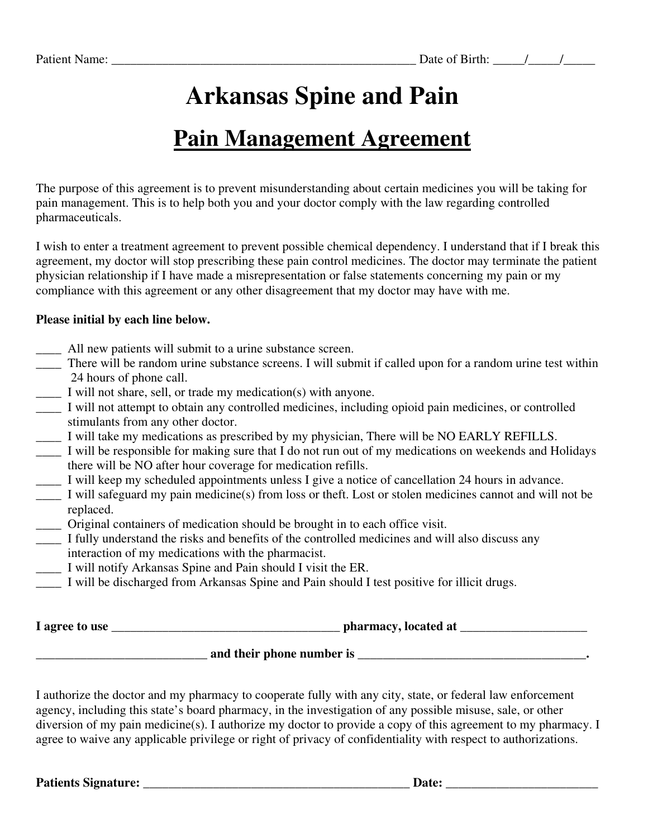# **Arkansas Spine and Pain**

## **Pain Management Agreement**

The purpose of this agreement is to prevent misunderstanding about certain medicines you will be taking for pain management. This is to help both you and your doctor comply with the law regarding controlled pharmaceuticals.

I wish to enter a treatment agreement to prevent possible chemical dependency. I understand that if I break this agreement, my doctor will stop prescribing these pain control medicines. The doctor may terminate the patient physician relationship if I have made a misrepresentation or false statements concerning my pain or my compliance with this agreement or any other disagreement that my doctor may have with me.

#### **Please initial by each line below.**

- \_\_\_\_ All new patients will submit to a urine substance screen.
- \_\_\_\_ There will be random urine substance screens. I will submit if called upon for a random urine test within 24 hours of phone call.
- \_\_\_\_ I will not share, sell, or trade my medication(s) with anyone.
- \_\_\_\_ I will not attempt to obtain any controlled medicines, including opioid pain medicines, or controlled stimulants from any other doctor.
- \_\_\_\_ I will take my medications as prescribed by my physician, There will be NO EARLY REFILLS.
- \_\_\_\_ I will be responsible for making sure that I do not run out of my medications on weekends and Holidays there will be NO after hour coverage for medication refills.
- \_\_\_\_ I will keep my scheduled appointments unless I give a notice of cancellation 24 hours in advance.
- \_\_\_\_ I will safeguard my pain medicine(s) from loss or theft. Lost or stolen medicines cannot and will not be replaced.
- \_\_\_\_ Original containers of medication should be brought in to each office visit.
- \_\_\_\_ I fully understand the risks and benefits of the controlled medicines and will also discuss any interaction of my medications with the pharmacist.
- \_\_\_\_ I will notify Arkansas Spine and Pain should I visit the ER.
- I will be discharged from Arkansas Spine and Pain should I test positive for illicit drugs.

**I** agree to use **the use the contract of the contract of the contract of the contract of the contract of the contract of the contract of the contract of the contract of the contract of the contract of the contract of the** 

### **\_\_\_\_\_\_\_\_\_\_\_\_\_\_\_\_\_\_\_\_\_\_\_\_\_\_\_ and their phone number is \_\_\_\_\_\_\_\_\_\_\_\_\_\_\_\_\_\_\_\_\_\_\_\_\_\_\_\_\_\_\_\_\_\_\_\_.**

I authorize the doctor and my pharmacy to cooperate fully with any city, state, or federal law enforcement agency, including this state's board pharmacy, in the investigation of any possible misuse, sale, or other diversion of my pain medicine(s). I authorize my doctor to provide a copy of this agreement to my pharmacy. I agree to waive any applicable privilege or right of privacy of confidentiality with respect to authorizations.

**Patients Signature: \_\_\_\_\_\_\_\_\_\_\_\_\_\_\_\_\_\_\_\_\_\_\_\_\_\_\_\_\_\_\_\_\_\_\_\_\_\_\_\_\_\_ Date: \_\_\_\_\_\_\_\_\_\_\_\_\_\_\_\_\_\_\_\_\_\_\_\_**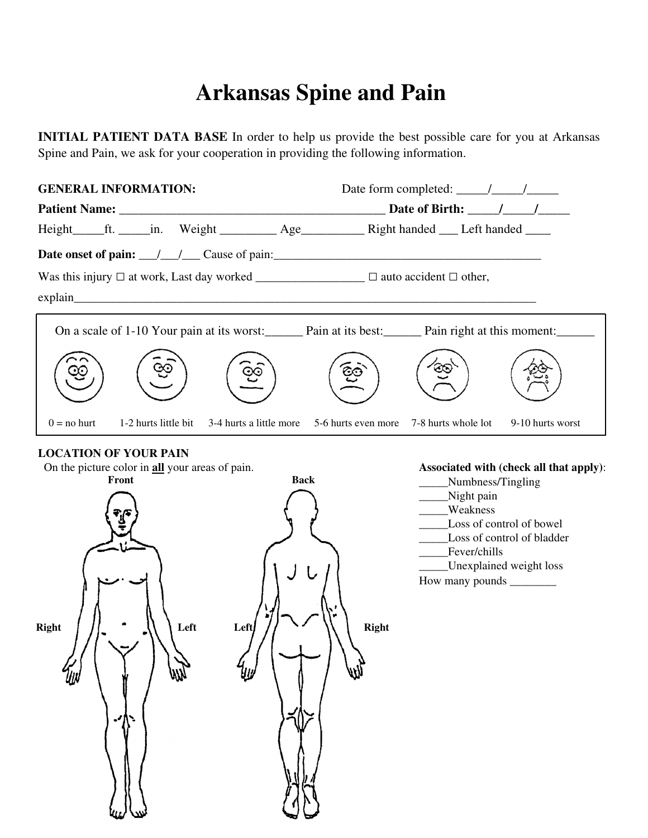# **Arkansas Spine and Pain**

**INITIAL PATIENT DATA BASE** In order to help us provide the best possible care for you at Arkansas Spine and Pain, we ask for your cooperation in providing the following information.

| <b>GENERAL INFORMATION:</b> |  |                                                                                                                          |  | Date form completed: $\frac{\sqrt{2}}{2}$ |                  |  |
|-----------------------------|--|--------------------------------------------------------------------------------------------------------------------------|--|-------------------------------------------|------------------|--|
|                             |  |                                                                                                                          |  | Date of Birth: / /                        |                  |  |
|                             |  | Height_____ft. _____in. Weight ____________ Age_____________ Right handed _____ Left handed _____                        |  |                                           |                  |  |
|                             |  |                                                                                                                          |  |                                           |                  |  |
|                             |  |                                                                                                                          |  |                                           |                  |  |
|                             |  | explain                                                                                                                  |  |                                           |                  |  |
|                             |  | On a scale of 1-10 Your pain at its worst: Pain at its best: Pain right at this moment:                                  |  |                                           |                  |  |
|                             |  | ĢĠ                                                                                                                       |  |                                           |                  |  |
| $0 =$ no hurt               |  | 1-2 hurts little bit $\frac{3-4}{2}$ hurts a little more $\frac{5-6}{2}$ hurts even more $\frac{7-8}{2}$ hurts whole lot |  |                                           | 9-10 hurts worst |  |

#### **LOCATION OF YOUR PAIN**

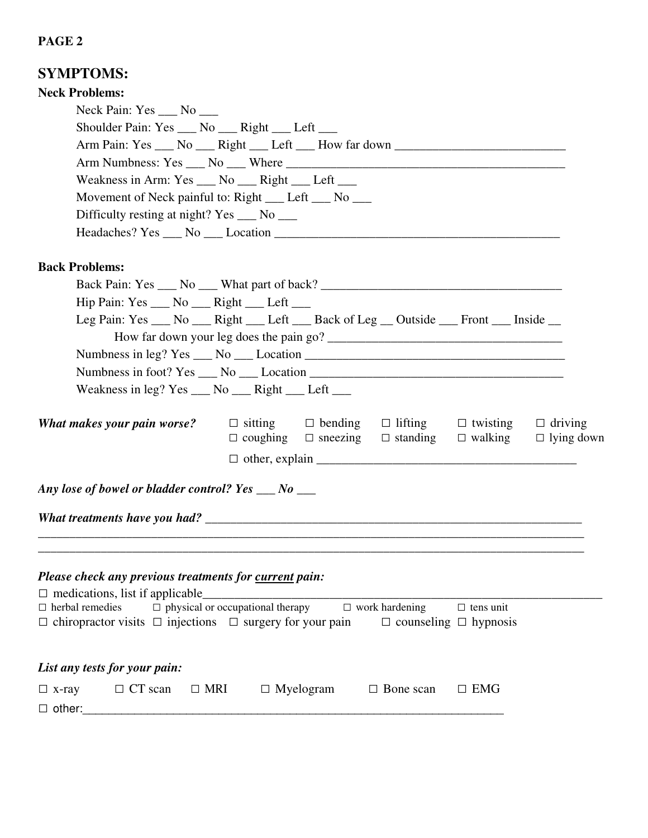### **PAGE 2**

| <b>SYMPTOMS:</b>                                                                                                                                      |  |  |  |  |  |  |  |  |
|-------------------------------------------------------------------------------------------------------------------------------------------------------|--|--|--|--|--|--|--|--|
| <b>Neck Problems:</b>                                                                                                                                 |  |  |  |  |  |  |  |  |
| Neck Pain: Yes ___ No ___                                                                                                                             |  |  |  |  |  |  |  |  |
| Shoulder Pain: Yes ___ No ___ Right ___ Left ___                                                                                                      |  |  |  |  |  |  |  |  |
| Arm Pain: Yes ___ No ___ Right ___ Left ___ How far down ________________________                                                                     |  |  |  |  |  |  |  |  |
|                                                                                                                                                       |  |  |  |  |  |  |  |  |
| Weakness in Arm: Yes ___ No ___ Right ___ Left ___                                                                                                    |  |  |  |  |  |  |  |  |
| Movement of Neck painful to: Right __ Left __ No __                                                                                                   |  |  |  |  |  |  |  |  |
| Difficulty resting at night? Yes ___ No ___                                                                                                           |  |  |  |  |  |  |  |  |
|                                                                                                                                                       |  |  |  |  |  |  |  |  |
| <b>Back Problems:</b>                                                                                                                                 |  |  |  |  |  |  |  |  |
|                                                                                                                                                       |  |  |  |  |  |  |  |  |
| Hip Pain: Yes ___ No ___ Right ___ Left ___                                                                                                           |  |  |  |  |  |  |  |  |
| Leg Pain: Yes ___ No ___ Right ___ Left ___ Back of Leg __ Outside ___ Front ___ Inside __                                                            |  |  |  |  |  |  |  |  |
|                                                                                                                                                       |  |  |  |  |  |  |  |  |
| Numbness in leg? $Yes \_ No \_ Location \_$                                                                                                           |  |  |  |  |  |  |  |  |
|                                                                                                                                                       |  |  |  |  |  |  |  |  |
| Weakness in leg? Yes ____ No ____ Right ____ Left ____                                                                                                |  |  |  |  |  |  |  |  |
| $\Box$ bending $\Box$ lifting $\Box$ twisting $\Box$ driving<br>$\Box$ sitting<br>What makes your pain worse?                                         |  |  |  |  |  |  |  |  |
| $\Box$ coughing $\Box$ sneezing $\Box$ standing $\Box$ walking<br>$\Box$ lying down                                                                   |  |  |  |  |  |  |  |  |
|                                                                                                                                                       |  |  |  |  |  |  |  |  |
| Any lose of bowel or bladder control? Yes $\_\_$ No $\_\_$                                                                                            |  |  |  |  |  |  |  |  |
|                                                                                                                                                       |  |  |  |  |  |  |  |  |
| Please check any previous treatments for current pain:                                                                                                |  |  |  |  |  |  |  |  |
| $\Box$ medications, list if applicable<br>$\Box$ physical or occupational therapy $\Box$ work hardening<br>$\Box$ herbal remedies<br>$\Box$ tens unit |  |  |  |  |  |  |  |  |
| $\Box$ chiropractor visits $\Box$ injections $\Box$ surgery for your pain<br>$\Box$ counseling $\Box$ hypnosis                                        |  |  |  |  |  |  |  |  |
| List any tests for your pain:                                                                                                                         |  |  |  |  |  |  |  |  |
| $\Box$ MRI<br>$\Box$ CT scan<br>$\Box$ Myelogram<br>$\Box$ EMG<br>$\Box$ Bone scan<br>$\Box$ x-ray<br>$\Box$ other:                                   |  |  |  |  |  |  |  |  |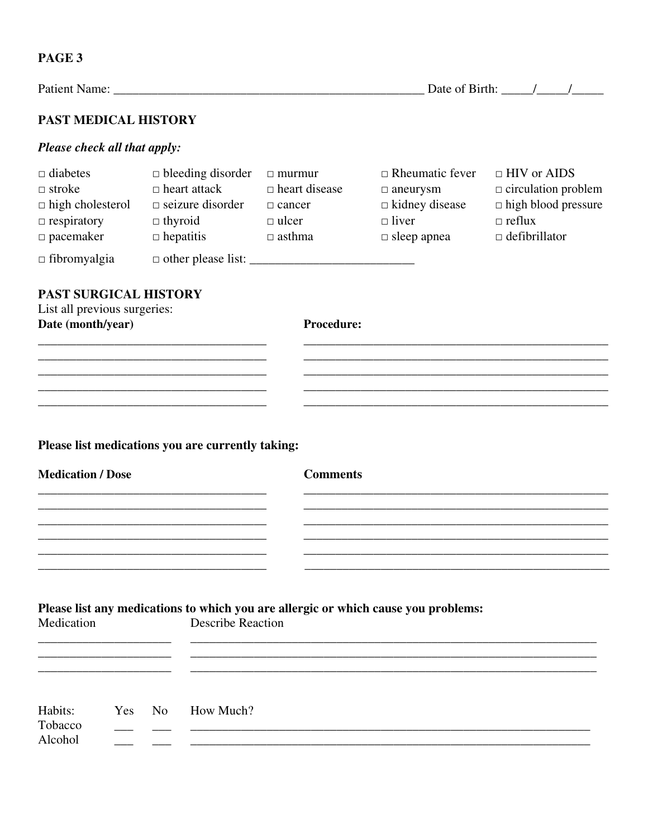| <b>PAST MEDICAL HISTORY</b>                                                                           |                                                                                                                                                |                                                        |                                                                                                          |                                                                                                                         |  |  |
|-------------------------------------------------------------------------------------------------------|------------------------------------------------------------------------------------------------------------------------------------------------|--------------------------------------------------------|----------------------------------------------------------------------------------------------------------|-------------------------------------------------------------------------------------------------------------------------|--|--|
| Please check all that apply:                                                                          |                                                                                                                                                |                                                        |                                                                                                          |                                                                                                                         |  |  |
| $\Box$ diabetes<br>$\Box$ stroke<br>$\Box$ high cholesterol<br>$\Box$ respiratory<br>$\Box$ pacemaker | $\Box$ bleeding disorder<br>$\Box$ heart attack<br>$\Box$ seizure disorder<br>$\Box$ thyroid<br>$\Box$ ulcer<br>$\Box$ hepatitis $\Box$ asthma | $\Box$ murmur<br>$\Box$ heart disease<br>$\Box$ cancer | $\Box$ Rheumatic fever<br>$\Box$ aneurysm<br>$\Box$ kidney disease<br>$\Box$ liver<br>$\Box$ sleep apnea | $\Box$ HIV or AIDS<br>$\Box$ circulation problem<br>$\Box$ high blood pressure<br>$\Box$ reflux<br>$\Box$ defibrillator |  |  |
| $\Box$ fibromyalgia                                                                                   |                                                                                                                                                |                                                        |                                                                                                          |                                                                                                                         |  |  |
|                                                                                                       |                                                                                                                                                |                                                        |                                                                                                          |                                                                                                                         |  |  |
|                                                                                                       | <u> 1989 - Johann Harry Harry Harry Harry Harry Harry Harry Harry Harry Harry Harry Harry Harry Harry Harry Harry</u>                          |                                                        |                                                                                                          |                                                                                                                         |  |  |
|                                                                                                       |                                                                                                                                                |                                                        |                                                                                                          |                                                                                                                         |  |  |
|                                                                                                       | Please list medications you are currently taking:                                                                                              |                                                        |                                                                                                          |                                                                                                                         |  |  |
| <b>Medication / Dose</b>                                                                              |                                                                                                                                                | <b>Comments</b>                                        |                                                                                                          |                                                                                                                         |  |  |
|                                                                                                       | the control of the control of the control of the control of the control of the control of                                                      |                                                        |                                                                                                          |                                                                                                                         |  |  |
|                                                                                                       |                                                                                                                                                |                                                        |                                                                                                          |                                                                                                                         |  |  |
|                                                                                                       |                                                                                                                                                |                                                        |                                                                                                          |                                                                                                                         |  |  |

| Habits: | Yes No | How Much? |
|---------|--------|-----------|
| Tobacco |        |           |
| Alcohol |        |           |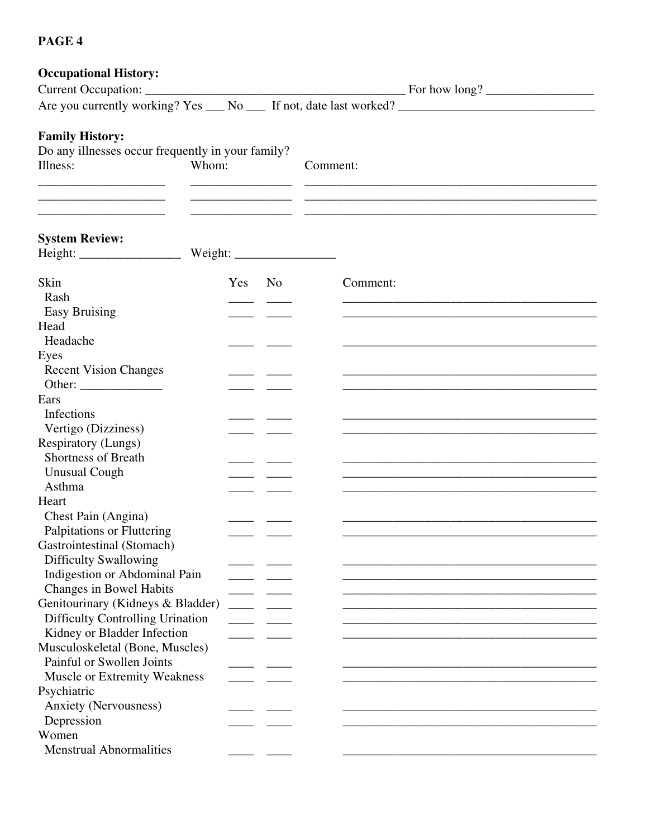### **PAGE 4**

| <b>Occupational History:</b>                                                            |        |  |                                                                                                                       |
|-----------------------------------------------------------------------------------------|--------|--|-----------------------------------------------------------------------------------------------------------------------|
| Current Occupation:                                                                     |        |  |                                                                                                                       |
|                                                                                         |        |  |                                                                                                                       |
| <b>Family History:</b><br>Do any illnesses occur frequently in your family?<br>Illness: | Whom:  |  | Comment:                                                                                                              |
| <b>System Review:</b>                                                                   |        |  |                                                                                                                       |
| Skin                                                                                    | Yes No |  | Comment:                                                                                                              |
| Rash                                                                                    |        |  | and the control of the control of the control of the control of the control of the control of the control of the      |
| <b>Easy Bruising</b>                                                                    |        |  |                                                                                                                       |
| Head                                                                                    |        |  |                                                                                                                       |
| Headache                                                                                |        |  |                                                                                                                       |
| Eyes                                                                                    |        |  |                                                                                                                       |
| <b>Recent Vision Changes</b>                                                            |        |  |                                                                                                                       |
|                                                                                         |        |  |                                                                                                                       |
| Ears                                                                                    |        |  |                                                                                                                       |
| Infections                                                                              |        |  |                                                                                                                       |
| Vertigo (Dizziness)                                                                     |        |  |                                                                                                                       |
| <b>Respiratory (Lungs)</b>                                                              |        |  |                                                                                                                       |
| <b>Shortness of Breath</b>                                                              |        |  |                                                                                                                       |
| <b>Unusual Cough</b><br>Asthma                                                          |        |  | <u> 1989 - Johann Stoff, deutscher Stoff, der Stoff, der Stoff, der Stoff, der Stoff, der Stoff, der Stoff, der S</u> |
| Heart                                                                                   |        |  |                                                                                                                       |
| Chest Pain (Angina)                                                                     |        |  |                                                                                                                       |
| Palpitations or Fluttering                                                              |        |  |                                                                                                                       |
| Gastrointestinal (Stomach)                                                              |        |  |                                                                                                                       |
| <b>Difficulty Swallowing</b>                                                            |        |  |                                                                                                                       |
| Indigestion or Abdominal Pain                                                           |        |  |                                                                                                                       |
| Changes in Bowel Habits                                                                 |        |  |                                                                                                                       |
| Genitourinary (Kidneys & Bladder)                                                       |        |  |                                                                                                                       |
| Difficulty Controlling Urination                                                        |        |  |                                                                                                                       |
| Kidney or Bladder Infection                                                             |        |  |                                                                                                                       |
| Musculoskeletal (Bone, Muscles)                                                         |        |  |                                                                                                                       |
| Painful or Swollen Joints                                                               |        |  |                                                                                                                       |
| Muscle or Extremity Weakness                                                            |        |  |                                                                                                                       |
| Psychiatric                                                                             |        |  |                                                                                                                       |
| Anxiety (Nervousness)                                                                   |        |  |                                                                                                                       |
| Depression                                                                              |        |  |                                                                                                                       |
| Women                                                                                   |        |  |                                                                                                                       |
| <b>Menstrual Abnormalities</b>                                                          |        |  |                                                                                                                       |